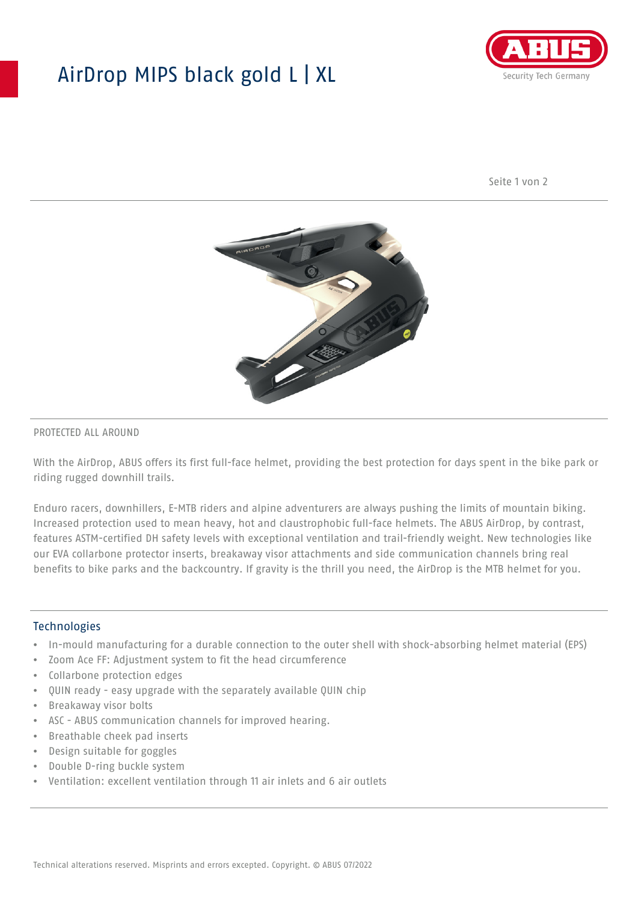## AirDrop MIPS black gold L | XL



Seite 1 von 2



#### PROTECTED ALL AROUND

With the AirDrop, ABUS offers its first full-face helmet, providing the best protection for days spent in the bike park or riding rugged downhill trails.

Enduro racers, downhillers, E-MTB riders and alpine adventurers are always pushing the limits of mountain biking. Increased protection used to mean heavy, hot and claustrophobic full-face helmets. The ABUS AirDrop, by contrast, features ASTM-certified DH safety levels with exceptional ventilation and trail-friendly weight. New technologies like our EVA collarbone protector inserts, breakaway visor attachments and side communication channels bring real benefits to bike parks and the backcountry. If gravity is the thrill you need, the AirDrop is the MTB helmet for you.

#### **Technologies**

- In-mould manufacturing for a durable connection to the outer shell with shock-absorbing helmet material (EPS)
- Zoom Ace FF: Adjustment system to fit the head circumference
- Collarbone protection edges
- QUIN ready easy upgrade with the separately available QUIN chip
- Breakaway visor bolts
- ASC ABUS communication channels for improved hearing.
- Breathable cheek pad inserts
- Design suitable for goggles
- Double D-ring buckle system
- Ventilation: excellent ventilation through 11 air inlets and 6 air outlets